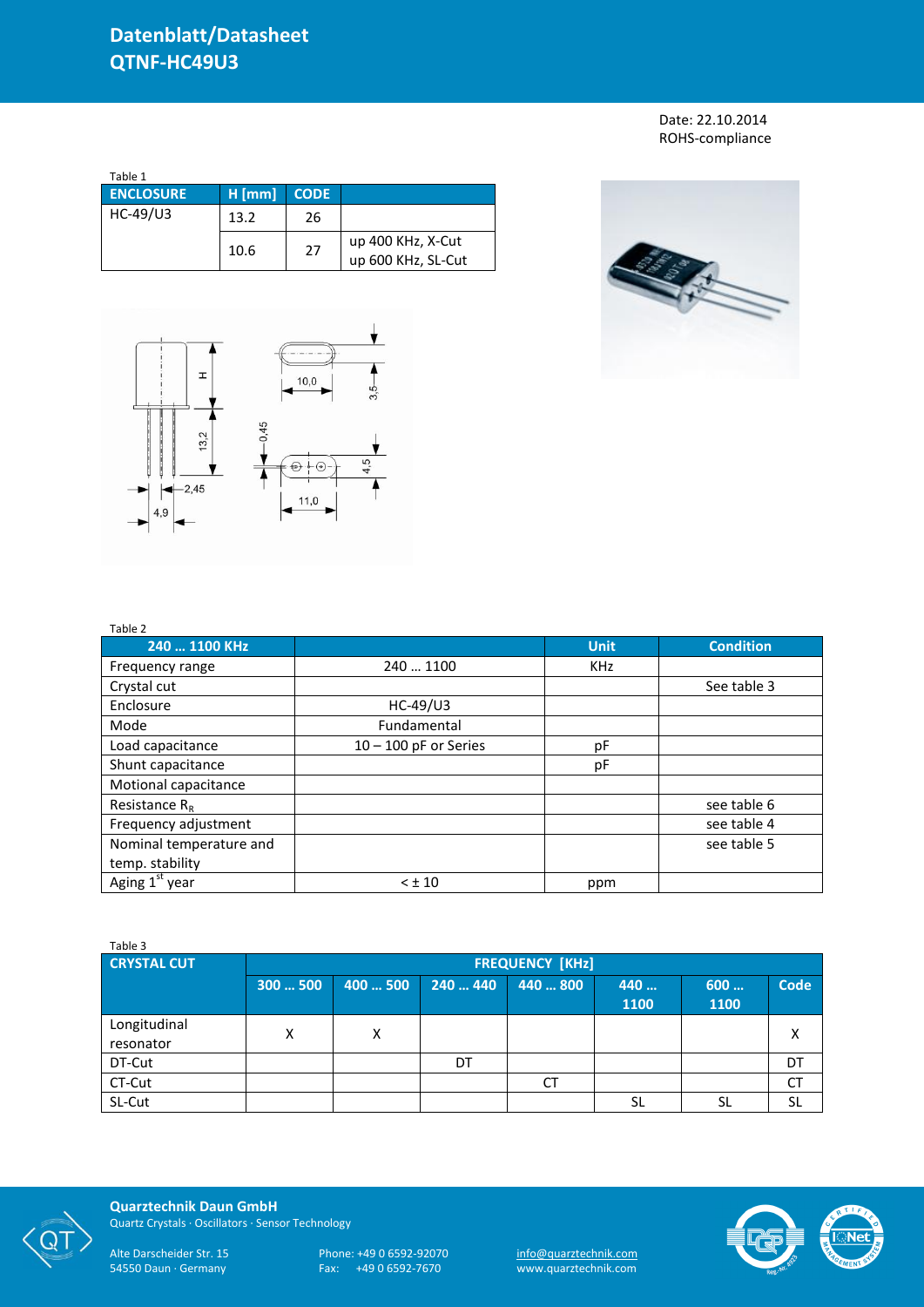Date: 22.10.2014 ROHS-compliance

| Table 1          |          |             |                                         |
|------------------|----------|-------------|-----------------------------------------|
| <b>ENCLOSURE</b> | $H$ [mm] | <b>CODE</b> |                                         |
| HC-49/U3         | 13.2     | 26          |                                         |
|                  | 10.6     | 27          | up 400 KHz, X-Cut<br>up 600 KHz, SL-Cut |



Table 2



| 240  1100 KHz           |                         | <b>Unit</b> | <b>Condition</b> |
|-------------------------|-------------------------|-------------|------------------|
| Frequency range         | 240  1100               | <b>KHz</b>  |                  |
| Crystal cut             |                         |             | See table 3      |
| Enclosure               | $HC-49/U3$              |             |                  |
| Mode                    | Fundamental             |             |                  |
| Load capacitance        | $10 - 100$ pF or Series | рF          |                  |
| Shunt capacitance       |                         | рF          |                  |
| Motional capacitance    |                         |             |                  |
| Resistance $R_R$        |                         |             | see table 6      |
| Frequency adjustment    |                         |             | see table 4      |
| Nominal temperature and |                         |             | see table 5      |
| temp. stability         |                         |             |                  |
| Aging $1st$ year        | $<$ $\pm$ 10            | ppm         |                  |

| Table 3                   |                        |          |          |          |             |             |             |
|---------------------------|------------------------|----------|----------|----------|-------------|-------------|-------------|
| <b>CRYSTAL CUT</b>        | <b>FREQUENCY [KHZ]</b> |          |          |          |             |             |             |
|                           | 300500                 | 400  500 | 240  440 | 440  800 | 440<br>1100 | 600<br>1100 | <b>Code</b> |
| Longitudinal<br>resonator | Χ                      | Χ        |          |          |             |             | χ           |
| DT-Cut                    |                        |          | DT       |          |             |             | DT          |
| CT-Cut                    |                        |          |          | СT       |             |             | СT          |
| SL-Cut                    |                        |          |          |          | <b>SL</b>   | SL          | SL          |



**Quarztechnik Daun GmbH** Quartz Crystals · Oscillators · Sensor Technology

Alte Darscheider Str. 15 Phone: +49 0 6592-92070 <u>info@quarztechnik.com</u>

54550 Daun · Germany Fax: +49 0 6592-7670 www.quarztechnik.com